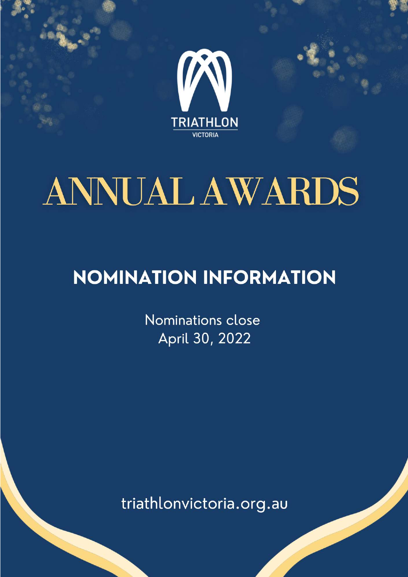

# **ANNUAL AWARDS**

# **NOMINATION INFORMATION**

Nominations close April 30, 2022

triathlonvictoria.org.au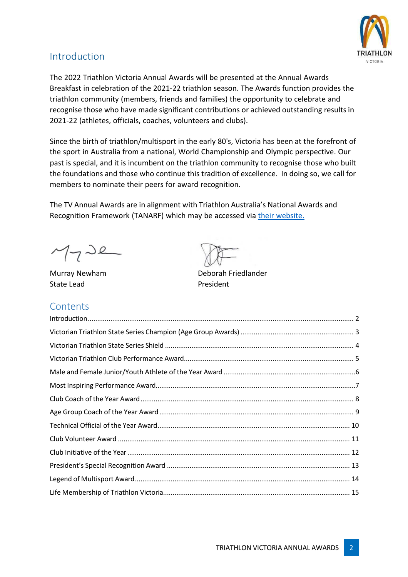

#### Introduction

The 2022 Triathlon Victoria Annual Awards will be presented at the Annual Awards Breakfast in celebration of the 2021-22 triathlon season. The Awards function provides the triathlon community (members, friends and families) the opportunity to celebrate and recognise those who have made significant contributions or achieved outstanding results in 2021-22 (athletes, officials, coaches, volunteers and clubs).

Since the birth of triathlon/multisport in the early 80's, Victoria has been at the forefront of the sport in Australia from a national, World Championship and Olympic perspective. Our past is special, and it is incumbent on the triathlon community to recognise those who built the foundations and those who continue this tradition of excellence. In doing so, we call for members to nominate their peers for award recognition.

The TV Annual Awards are in alignment with Triathlon Australia's National Awards and Recognition Framework (TANARF) which may be accessed via their website.

 $M_7$ de

State Lead **President** 

#### **Contents**

Murray Newham Deborah Friedlander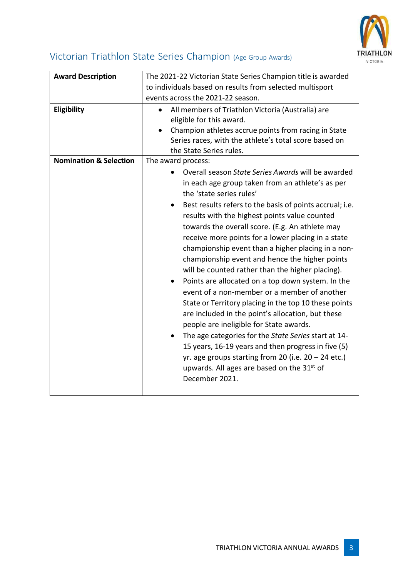

## Victorian Triathlon State Series Champion (Age Group Awards)

| <b>Award Description</b>          | The 2021-22 Victorian State Series Champion title is awarded<br>to individuals based on results from selected multisport<br>events across the 2021-22 season.                                                                                                                                                                                                                                                                                                                                                                                                                                                                                                                                                                                                                                                                                                                                                                                                                                                                                    |
|-----------------------------------|--------------------------------------------------------------------------------------------------------------------------------------------------------------------------------------------------------------------------------------------------------------------------------------------------------------------------------------------------------------------------------------------------------------------------------------------------------------------------------------------------------------------------------------------------------------------------------------------------------------------------------------------------------------------------------------------------------------------------------------------------------------------------------------------------------------------------------------------------------------------------------------------------------------------------------------------------------------------------------------------------------------------------------------------------|
| Eligibility                       | All members of Triathlon Victoria (Australia) are<br>eligible for this award.<br>Champion athletes accrue points from racing in State<br>Series races, with the athlete's total score based on<br>the State Series rules.                                                                                                                                                                                                                                                                                                                                                                                                                                                                                                                                                                                                                                                                                                                                                                                                                        |
| <b>Nomination &amp; Selection</b> | The award process:<br>Overall season State Series Awards will be awarded<br>in each age group taken from an athlete's as per<br>the 'state series rules'<br>Best results refers to the basis of points accrual; i.e.<br>results with the highest points value counted<br>towards the overall score. (E.g. An athlete may<br>receive more points for a lower placing in a state<br>championship event than a higher placing in a non-<br>championship event and hence the higher points<br>will be counted rather than the higher placing).<br>Points are allocated on a top down system. In the<br>event of a non-member or a member of another<br>State or Territory placing in the top 10 these points<br>are included in the point's allocation, but these<br>people are ineligible for State awards.<br>The age categories for the State Series start at 14-<br>15 years, 16-19 years and then progress in five (5)<br>yr. age groups starting from 20 (i.e. $20 - 24$ etc.)<br>upwards. All ages are based on the 31st of<br>December 2021. |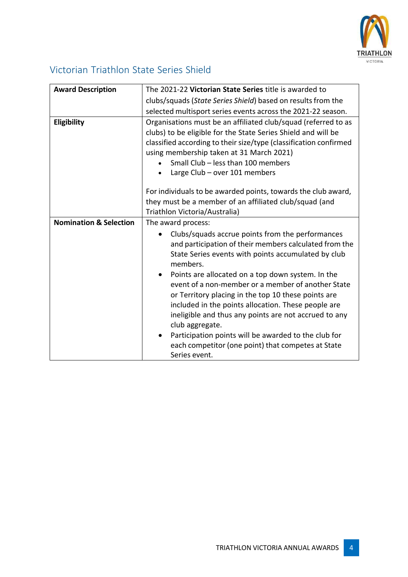

#### Victorian Triathlon State Series Shield

| <b>Award Description</b>          | The 2021-22 Victorian State Series title is awarded to                                                                                                                                                                                                                                                                  |
|-----------------------------------|-------------------------------------------------------------------------------------------------------------------------------------------------------------------------------------------------------------------------------------------------------------------------------------------------------------------------|
|                                   | clubs/squads (State Series Shield) based on results from the                                                                                                                                                                                                                                                            |
|                                   | selected multisport series events across the 2021-22 season.                                                                                                                                                                                                                                                            |
| Eligibility                       | Organisations must be an affiliated club/squad (referred to as<br>clubs) to be eligible for the State Series Shield and will be<br>classified according to their size/type (classification confirmed<br>using membership taken at 31 March 2021)<br>Small Club - less than 100 members<br>Large Club - over 101 members |
|                                   | For individuals to be awarded points, towards the club award,<br>they must be a member of an affiliated club/squad (and<br>Triathlon Victoria/Australia)                                                                                                                                                                |
| <b>Nomination &amp; Selection</b> | The award process:                                                                                                                                                                                                                                                                                                      |
|                                   | Clubs/squads accrue points from the performances<br>and participation of their members calculated from the<br>State Series events with points accumulated by club<br>members.                                                                                                                                           |
|                                   | Points are allocated on a top down system. In the<br>$\bullet$<br>event of a non-member or a member of another State<br>or Territory placing in the top 10 these points are<br>included in the points allocation. These people are<br>ineligible and thus any points are not accrued to any<br>club aggregate.          |
|                                   | Participation points will be awarded to the club for<br>each competitor (one point) that competes at State<br>Series event.                                                                                                                                                                                             |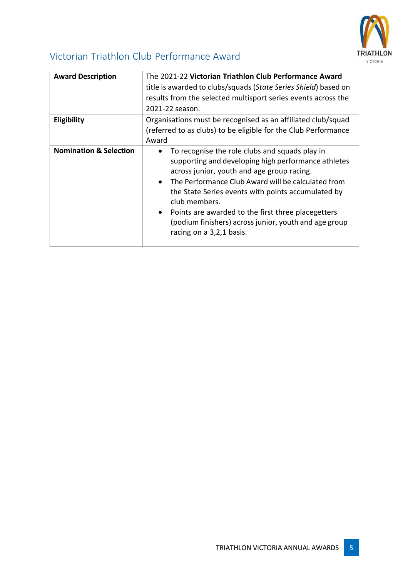

#### Victorian Triathlon Club Performance Award

| <b>Award Description</b>          | The 2021-22 Victorian Triathlon Club Performance Award<br>title is awarded to clubs/squads (State Series Shield) based on<br>results from the selected multisport series events across the<br>2021-22 season.                                                                                                                                                                                                                                         |
|-----------------------------------|-------------------------------------------------------------------------------------------------------------------------------------------------------------------------------------------------------------------------------------------------------------------------------------------------------------------------------------------------------------------------------------------------------------------------------------------------------|
| <b>Eligibility</b>                | Organisations must be recognised as an affiliated club/squad<br>(referred to as clubs) to be eligible for the Club Performance<br>Award                                                                                                                                                                                                                                                                                                               |
| <b>Nomination &amp; Selection</b> | To recognise the role clubs and squads play in<br>supporting and developing high performance athletes<br>across junior, youth and age group racing.<br>The Performance Club Award will be calculated from<br>$\bullet$<br>the State Series events with points accumulated by<br>club members.<br>Points are awarded to the first three placegetters<br>$\bullet$<br>(podium finishers) across junior, youth and age group<br>racing on a 3,2,1 basis. |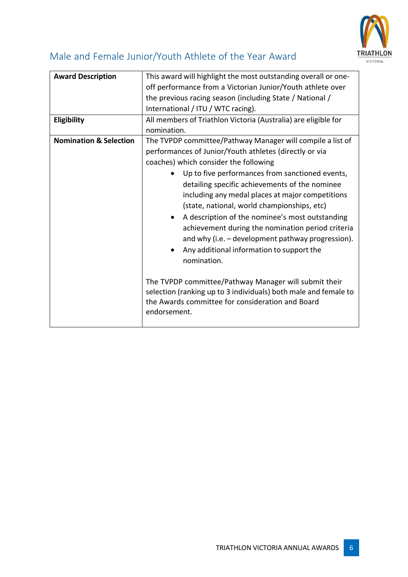

#### Male and Female Junior/Youth Athlete of the Year Award

| <b>Award Description</b>          | This award will highlight the most outstanding overall or one-<br>off performance from a Victorian Junior/Youth athlete over<br>the previous racing season (including State / National /<br>International / ITU / WTC racing).                                                                                                                                                                                                                                                                                                                                                                                                                                                                                                                                                                 |
|-----------------------------------|------------------------------------------------------------------------------------------------------------------------------------------------------------------------------------------------------------------------------------------------------------------------------------------------------------------------------------------------------------------------------------------------------------------------------------------------------------------------------------------------------------------------------------------------------------------------------------------------------------------------------------------------------------------------------------------------------------------------------------------------------------------------------------------------|
| Eligibility                       | All members of Triathlon Victoria (Australia) are eligible for<br>nomination.                                                                                                                                                                                                                                                                                                                                                                                                                                                                                                                                                                                                                                                                                                                  |
| <b>Nomination &amp; Selection</b> | The TVPDP committee/Pathway Manager will compile a list of<br>performances of Junior/Youth athletes (directly or via<br>coaches) which consider the following<br>Up to five performances from sanctioned events,<br>detailing specific achievements of the nominee<br>including any medal places at major competitions<br>(state, national, world championships, etc)<br>A description of the nominee's most outstanding<br>achievement during the nomination period criteria<br>and why (i.e. - development pathway progression).<br>Any additional information to support the<br>nomination.<br>The TVPDP committee/Pathway Manager will submit their<br>selection (ranking up to 3 individuals) both male and female to<br>the Awards committee for consideration and Board<br>endorsement. |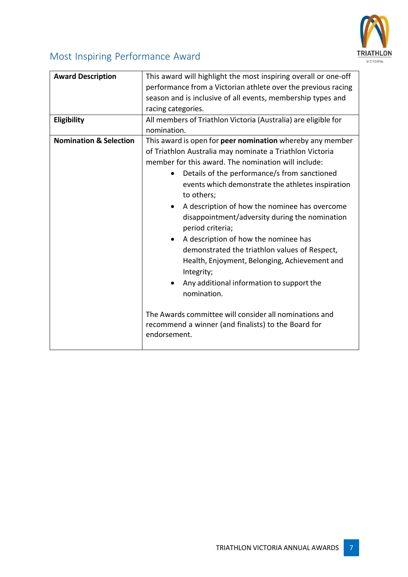

# Most Inspiring Performance Award

| This award will highlight the most inspiring overall or one-off<br>performance from a Victorian athlete over the previous racing<br>season and is inclusive of all events, membership types and                                                                                                                                                                                                                                                                                                                                                                                                                                                                                                                                                                                                       |
|-------------------------------------------------------------------------------------------------------------------------------------------------------------------------------------------------------------------------------------------------------------------------------------------------------------------------------------------------------------------------------------------------------------------------------------------------------------------------------------------------------------------------------------------------------------------------------------------------------------------------------------------------------------------------------------------------------------------------------------------------------------------------------------------------------|
| racing categories.                                                                                                                                                                                                                                                                                                                                                                                                                                                                                                                                                                                                                                                                                                                                                                                    |
| All members of Triathlon Victoria (Australia) are eligible for<br>nomination.                                                                                                                                                                                                                                                                                                                                                                                                                                                                                                                                                                                                                                                                                                                         |
| This award is open for peer nomination whereby any member<br>of Triathlon Australia may nominate a Triathlon Victoria<br>member for this award. The nomination will include:<br>Details of the performance/s from sanctioned<br>events which demonstrate the athletes inspiration<br>to others;<br>A description of how the nominee has overcome<br>$\bullet$<br>disappointment/adversity during the nomination<br>period criteria;<br>A description of how the nominee has<br>$\bullet$<br>demonstrated the triathlon values of Respect,<br>Health, Enjoyment, Belonging, Achievement and<br>Integrity;<br>Any additional information to support the<br>nomination.<br>The Awards committee will consider all nominations and<br>recommend a winner (and finalists) to the Board for<br>endorsement. |
|                                                                                                                                                                                                                                                                                                                                                                                                                                                                                                                                                                                                                                                                                                                                                                                                       |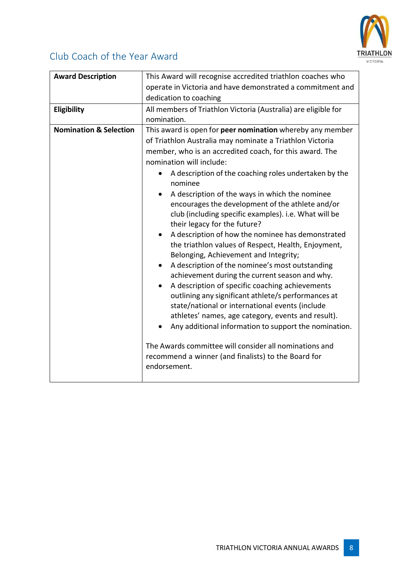

#### Club Coach of the Year Award

| <b>Award Description</b>          | This Award will recognise accredited triathlon coaches who<br>operate in Victoria and have demonstrated a commitment and<br>dedication to coaching                                                                                                                                                                                                                                                                                                                                                                                                                                                                                                                                                                                                                                                                                                                                                                                                                                                                                                                                                                                                     |
|-----------------------------------|--------------------------------------------------------------------------------------------------------------------------------------------------------------------------------------------------------------------------------------------------------------------------------------------------------------------------------------------------------------------------------------------------------------------------------------------------------------------------------------------------------------------------------------------------------------------------------------------------------------------------------------------------------------------------------------------------------------------------------------------------------------------------------------------------------------------------------------------------------------------------------------------------------------------------------------------------------------------------------------------------------------------------------------------------------------------------------------------------------------------------------------------------------|
| Eligibility                       | All members of Triathlon Victoria (Australia) are eligible for<br>nomination.                                                                                                                                                                                                                                                                                                                                                                                                                                                                                                                                                                                                                                                                                                                                                                                                                                                                                                                                                                                                                                                                          |
| <b>Nomination &amp; Selection</b> | This award is open for peer nomination whereby any member<br>of Triathlon Australia may nominate a Triathlon Victoria<br>member, who is an accredited coach, for this award. The<br>nomination will include:<br>A description of the coaching roles undertaken by the<br>nominee<br>A description of the ways in which the nominee<br>encourages the development of the athlete and/or<br>club (including specific examples). i.e. What will be<br>their legacy for the future?<br>A description of how the nominee has demonstrated<br>the triathlon values of Respect, Health, Enjoyment,<br>Belonging, Achievement and Integrity;<br>A description of the nominee's most outstanding<br>achievement during the current season and why.<br>A description of specific coaching achievements<br>outlining any significant athlete/s performances at<br>state/national or international events (include<br>athletes' names, age category, events and result).<br>Any additional information to support the nomination.<br>The Awards committee will consider all nominations and<br>recommend a winner (and finalists) to the Board for<br>endorsement. |
|                                   |                                                                                                                                                                                                                                                                                                                                                                                                                                                                                                                                                                                                                                                                                                                                                                                                                                                                                                                                                                                                                                                                                                                                                        |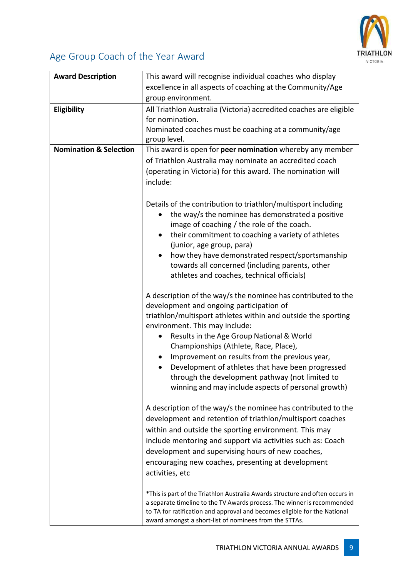

## Age Group Coach of the Year Award

| <b>Award Description</b>          | This award will recognise individual coaches who display                                                                            |
|-----------------------------------|-------------------------------------------------------------------------------------------------------------------------------------|
|                                   | excellence in all aspects of coaching at the Community/Age                                                                          |
|                                   | group environment.                                                                                                                  |
| Eligibility                       | All Triathlon Australia (Victoria) accredited coaches are eligible                                                                  |
|                                   | for nomination.                                                                                                                     |
|                                   | Nominated coaches must be coaching at a community/age                                                                               |
|                                   | group level.                                                                                                                        |
| <b>Nomination &amp; Selection</b> | This award is open for peer nomination whereby any member                                                                           |
|                                   | of Triathlon Australia may nominate an accredited coach                                                                             |
|                                   | (operating in Victoria) for this award. The nomination will                                                                         |
|                                   |                                                                                                                                     |
|                                   | include:                                                                                                                            |
|                                   |                                                                                                                                     |
|                                   | Details of the contribution to triathlon/multisport including                                                                       |
|                                   | the way/s the nominee has demonstrated a positive<br>$\bullet$                                                                      |
|                                   | image of coaching / the role of the coach.                                                                                          |
|                                   | their commitment to coaching a variety of athletes<br>$\bullet$                                                                     |
|                                   | (junior, age group, para)                                                                                                           |
|                                   | how they have demonstrated respect/sportsmanship<br>$\bullet$                                                                       |
|                                   | towards all concerned (including parents, other                                                                                     |
|                                   | athletes and coaches, technical officials)                                                                                          |
|                                   |                                                                                                                                     |
|                                   | A description of the way/s the nominee has contributed to the                                                                       |
|                                   | development and ongoing participation of                                                                                            |
|                                   | triathlon/multisport athletes within and outside the sporting                                                                       |
|                                   | environment. This may include:                                                                                                      |
|                                   | Results in the Age Group National & World                                                                                           |
|                                   | Championships (Athlete, Race, Place),                                                                                               |
|                                   | Improvement on results from the previous year,                                                                                      |
|                                   | Development of athletes that have been progressed                                                                                   |
|                                   | through the development pathway (not limited to                                                                                     |
|                                   | winning and may include aspects of personal growth)                                                                                 |
|                                   |                                                                                                                                     |
|                                   | A description of the way/s the nominee has contributed to the                                                                       |
|                                   | development and retention of triathlon/multisport coaches                                                                           |
|                                   | within and outside the sporting environment. This may                                                                               |
|                                   | include mentoring and support via activities such as: Coach                                                                         |
|                                   | development and supervising hours of new coaches,                                                                                   |
|                                   | encouraging new coaches, presenting at development                                                                                  |
|                                   | activities, etc                                                                                                                     |
|                                   |                                                                                                                                     |
|                                   | *This is part of the Triathlon Australia Awards structure and often occurs in                                                       |
|                                   | a separate timeline to the TV Awards process. The winner is recommended                                                             |
|                                   | to TA for ratification and approval and becomes eligible for the National<br>award amongst a short-list of nominees from the STTAs. |
|                                   |                                                                                                                                     |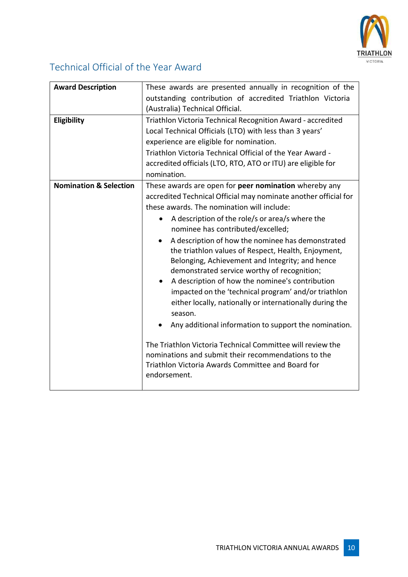

#### Technical Official of the Year Award

| <b>Award Description</b>          | These awards are presented annually in recognition of the<br>outstanding contribution of accredited Triathlon Victoria                                                                                                                                                                                                                                                                                                                                                                                                                                                                                                                                                                                                                                                                                                                                                                                            |
|-----------------------------------|-------------------------------------------------------------------------------------------------------------------------------------------------------------------------------------------------------------------------------------------------------------------------------------------------------------------------------------------------------------------------------------------------------------------------------------------------------------------------------------------------------------------------------------------------------------------------------------------------------------------------------------------------------------------------------------------------------------------------------------------------------------------------------------------------------------------------------------------------------------------------------------------------------------------|
|                                   | (Australia) Technical Official.                                                                                                                                                                                                                                                                                                                                                                                                                                                                                                                                                                                                                                                                                                                                                                                                                                                                                   |
| Eligibility                       | Triathlon Victoria Technical Recognition Award - accredited<br>Local Technical Officials (LTO) with less than 3 years'<br>experience are eligible for nomination.<br>Triathlon Victoria Technical Official of the Year Award -<br>accredited officials (LTO, RTO, ATO or ITU) are eligible for<br>nomination.                                                                                                                                                                                                                                                                                                                                                                                                                                                                                                                                                                                                     |
| <b>Nomination &amp; Selection</b> | These awards are open for peer nomination whereby any<br>accredited Technical Official may nominate another official for<br>these awards. The nomination will include:<br>A description of the role/s or area/s where the<br>nominee has contributed/excelled;<br>A description of how the nominee has demonstrated<br>the triathlon values of Respect, Health, Enjoyment,<br>Belonging, Achievement and Integrity; and hence<br>demonstrated service worthy of recognition;<br>A description of how the nominee's contribution<br>impacted on the 'technical program' and/or triathlon<br>either locally, nationally or internationally during the<br>season.<br>Any additional information to support the nomination.<br>The Triathlon Victoria Technical Committee will review the<br>nominations and submit their recommendations to the<br>Triathlon Victoria Awards Committee and Board for<br>endorsement. |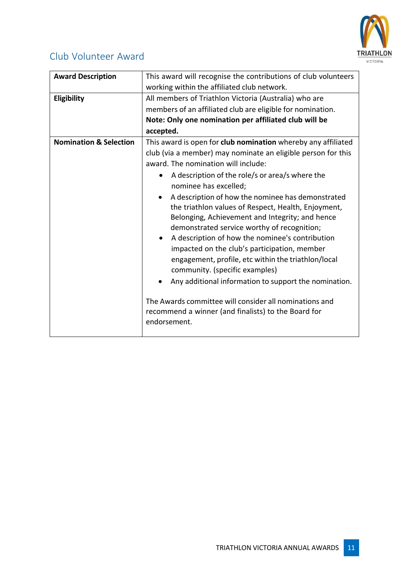

#### Club Volunteer Award

| <b>Award Description</b><br>Eligibility | This award will recognise the contributions of club volunteers<br>working within the affiliated club network.<br>All members of Triathlon Victoria (Australia) who are                                                                                                                                                                                                                                 |
|-----------------------------------------|--------------------------------------------------------------------------------------------------------------------------------------------------------------------------------------------------------------------------------------------------------------------------------------------------------------------------------------------------------------------------------------------------------|
|                                         | members of an affiliated club are eligible for nomination.                                                                                                                                                                                                                                                                                                                                             |
|                                         | Note: Only one nomination per affiliated club will be                                                                                                                                                                                                                                                                                                                                                  |
|                                         | accepted.                                                                                                                                                                                                                                                                                                                                                                                              |
| <b>Nomination &amp; Selection</b>       | This award is open for club nomination whereby any affiliated                                                                                                                                                                                                                                                                                                                                          |
|                                         | club (via a member) may nominate an eligible person for this                                                                                                                                                                                                                                                                                                                                           |
|                                         | award. The nomination will include:                                                                                                                                                                                                                                                                                                                                                                    |
|                                         | A description of the role/s or area/s where the<br>nominee has excelled;                                                                                                                                                                                                                                                                                                                               |
|                                         | A description of how the nominee has demonstrated<br>the triathlon values of Respect, Health, Enjoyment,<br>Belonging, Achievement and Integrity; and hence<br>demonstrated service worthy of recognition;<br>A description of how the nominee's contribution<br>impacted on the club's participation, member<br>engagement, profile, etc within the triathlon/local<br>community. (specific examples) |
|                                         | Any additional information to support the nomination.<br>The Awards committee will consider all nominations and<br>recommend a winner (and finalists) to the Board for<br>endorsement.                                                                                                                                                                                                                 |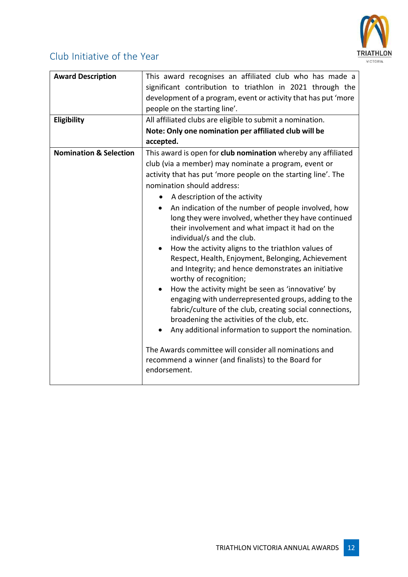

#### Club Initiative of the Year

| <b>Award Description</b><br>Eligibility | This award recognises an affiliated club who has made a<br>significant contribution to triathlon in 2021 through the<br>development of a program, event or activity that has put 'more<br>people on the starting line'.<br>All affiliated clubs are eligible to submit a nomination.<br>Note: Only one nomination per affiliated club will be<br>accepted.                                                                                                                                                                                                                                                                                                                                                                                                                                                                                                                                                                                                                                                                                                                        |
|-----------------------------------------|-----------------------------------------------------------------------------------------------------------------------------------------------------------------------------------------------------------------------------------------------------------------------------------------------------------------------------------------------------------------------------------------------------------------------------------------------------------------------------------------------------------------------------------------------------------------------------------------------------------------------------------------------------------------------------------------------------------------------------------------------------------------------------------------------------------------------------------------------------------------------------------------------------------------------------------------------------------------------------------------------------------------------------------------------------------------------------------|
| <b>Nomination &amp; Selection</b>       | This award is open for club nomination whereby any affiliated<br>club (via a member) may nominate a program, event or<br>activity that has put 'more people on the starting line'. The<br>nomination should address:<br>A description of the activity<br>An indication of the number of people involved, how<br>long they were involved, whether they have continued<br>their involvement and what impact it had on the<br>individual/s and the club.<br>How the activity aligns to the triathlon values of<br>$\bullet$<br>Respect, Health, Enjoyment, Belonging, Achievement<br>and Integrity; and hence demonstrates an initiative<br>worthy of recognition;<br>How the activity might be seen as 'innovative' by<br>engaging with underrepresented groups, adding to the<br>fabric/culture of the club, creating social connections,<br>broadening the activities of the club, etc.<br>Any additional information to support the nomination.<br>The Awards committee will consider all nominations and<br>recommend a winner (and finalists) to the Board for<br>endorsement. |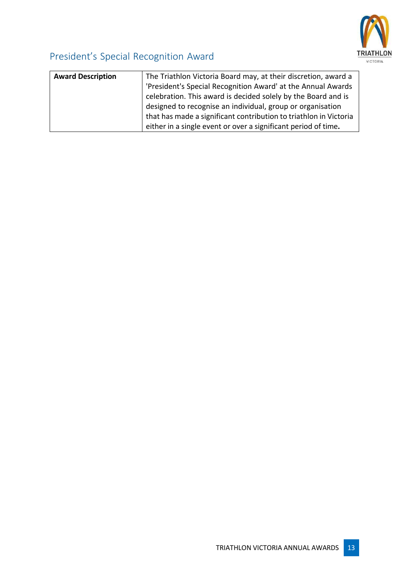

# President's Special Recognition Award

| <b>Award Description</b> | The Triathlon Victoria Board may, at their discretion, award a    |
|--------------------------|-------------------------------------------------------------------|
|                          | 'President's Special Recognition Award' at the Annual Awards      |
|                          | celebration. This award is decided solely by the Board and is     |
|                          | designed to recognise an individual, group or organisation        |
|                          | that has made a significant contribution to triathlon in Victoria |
|                          | either in a single event or over a significant period of time.    |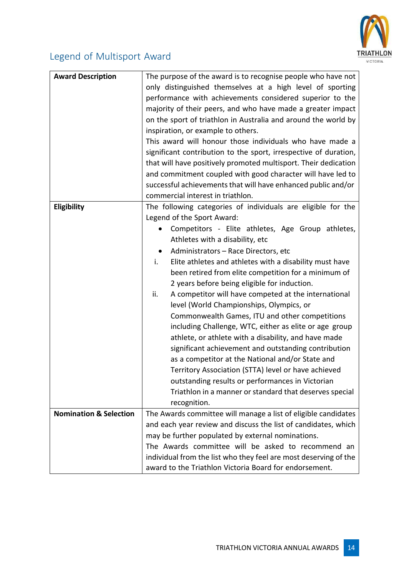

## Legend of Multisport Award

| <b>Award Description</b>          | The purpose of the award is to recognise people who have not     |
|-----------------------------------|------------------------------------------------------------------|
|                                   | only distinguished themselves at a high level of sporting        |
|                                   | performance with achievements considered superior to the         |
|                                   | majority of their peers, and who have made a greater impact      |
|                                   | on the sport of triathlon in Australia and around the world by   |
|                                   | inspiration, or example to others.                               |
|                                   | This award will honour those individuals who have made a         |
|                                   | significant contribution to the sport, irrespective of duration, |
|                                   | that will have positively promoted multisport. Their dedication  |
|                                   | and commitment coupled with good character will have led to      |
|                                   | successful achievements that will have enhanced public and/or    |
|                                   | commercial interest in triathlon.                                |
| <b>Eligibility</b>                | The following categories of individuals are eligible for the     |
|                                   | Legend of the Sport Award:                                       |
|                                   | Competitors - Elite athletes, Age Group athletes,                |
|                                   | Athletes with a disability, etc                                  |
|                                   | Administrators - Race Directors, etc<br>$\bullet$                |
|                                   | i.<br>Elite athletes and athletes with a disability must have    |
|                                   | been retired from elite competition for a minimum of             |
|                                   | 2 years before being eligible for induction.                     |
|                                   | ii.<br>A competitor will have competed at the international      |
|                                   | level (World Championships, Olympics, or                         |
|                                   | Commonwealth Games, ITU and other competitions                   |
|                                   | including Challenge, WTC, either as elite or age group           |
|                                   | athlete, or athlete with a disability, and have made             |
|                                   | significant achievement and outstanding contribution             |
|                                   | as a competitor at the National and/or State and                 |
|                                   | Territory Association (STTA) level or have achieved              |
|                                   | outstanding results or performances in Victorian                 |
|                                   | Triathlon in a manner or standard that deserves special          |
|                                   | recognition.                                                     |
| <b>Nomination &amp; Selection</b> | The Awards committee will manage a list of eligible candidates   |
|                                   | and each year review and discuss the list of candidates, which   |
|                                   | may be further populated by external nominations.                |
|                                   | The Awards committee will be asked to recommend an               |
|                                   | individual from the list who they feel are most deserving of the |
|                                   | award to the Triathlon Victoria Board for endorsement.           |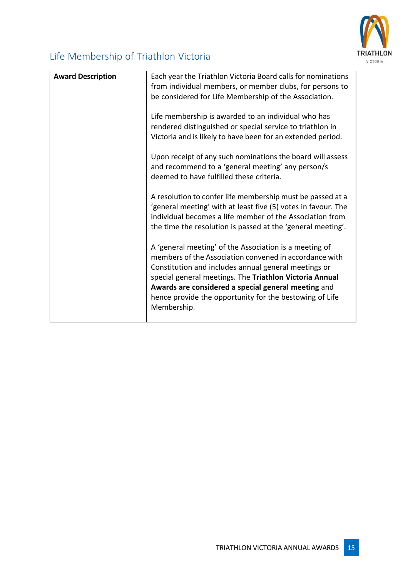

# Life Membership of Triathlon Victoria

| <b>Award Description</b> | Each year the Triathlon Victoria Board calls for nominations<br>from individual members, or member clubs, for persons to<br>be considered for Life Membership of the Association.                                                                                                                                                                     |
|--------------------------|-------------------------------------------------------------------------------------------------------------------------------------------------------------------------------------------------------------------------------------------------------------------------------------------------------------------------------------------------------|
|                          | Life membership is awarded to an individual who has<br>rendered distinguished or special service to triathlon in<br>Victoria and is likely to have been for an extended period.                                                                                                                                                                       |
|                          | Upon receipt of any such nominations the board will assess<br>and recommend to a 'general meeting' any person/s<br>deemed to have fulfilled these criteria.                                                                                                                                                                                           |
|                          | A resolution to confer life membership must be passed at a<br>'general meeting' with at least five (5) votes in favour. The<br>individual becomes a life member of the Association from<br>the time the resolution is passed at the 'general meeting'.                                                                                                |
|                          | A 'general meeting' of the Association is a meeting of<br>members of the Association convened in accordance with<br>Constitution and includes annual general meetings or<br>special general meetings. The Triathlon Victoria Annual<br>Awards are considered a special general meeting and<br>hence provide the opportunity for the bestowing of Life |
|                          | Membership.                                                                                                                                                                                                                                                                                                                                           |